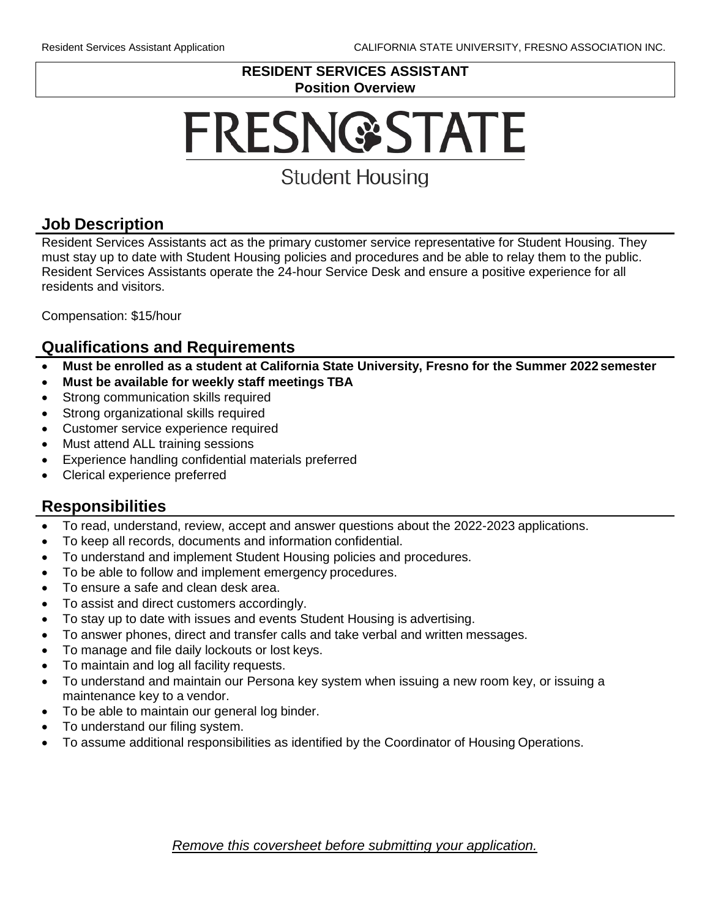#### **RESIDENT SERVICES ASSISTANT Position Overview**

# **FRESN@STATE**

## **Student Housing**

## **Job Description**

Resident Services Assistants act as the primary customer service representative for Student Housing. They must stay up to date with Student Housing policies and procedures and be able to relay them to the public. Resident Services Assistants operate the 24-hour Service Desk and ensure a positive experience for all residents and visitors.

Compensation: \$15/hour

#### **Qualifications and Requirements**

- **Must be enrolled as a student at California State University, Fresno for the Summer 2022 semester**
- **Must be available for weekly staff meetings TBA**
- Strong communication skills required
- Strong organizational skills required
- Customer service experience required
- Must attend ALL training sessions
- Experience handling confidential materials preferred
- Clerical experience preferred

## **Responsibilities**

- To read, understand, review, accept and answer questions about the 2022-2023 applications.
- To keep all records, documents and information confidential.
- To understand and implement Student Housing policies and procedures.
- To be able to follow and implement emergency procedures.
- To ensure a safe and clean desk area.
- To assist and direct customers accordingly.
- To stay up to date with issues and events Student Housing is advertising.
- To answer phones, direct and transfer calls and take verbal and written messages.
- To manage and file daily lockouts or lost keys.
- To maintain and log all facility requests.
- To understand and maintain our Persona key system when issuing a new room key, or issuing a maintenance key to a vendor.
- To be able to maintain our general log binder.
- To understand our filing system.
- To assume additional responsibilities as identified by the Coordinator of Housing Operations.

*Remove this coversheet before submitting your application.*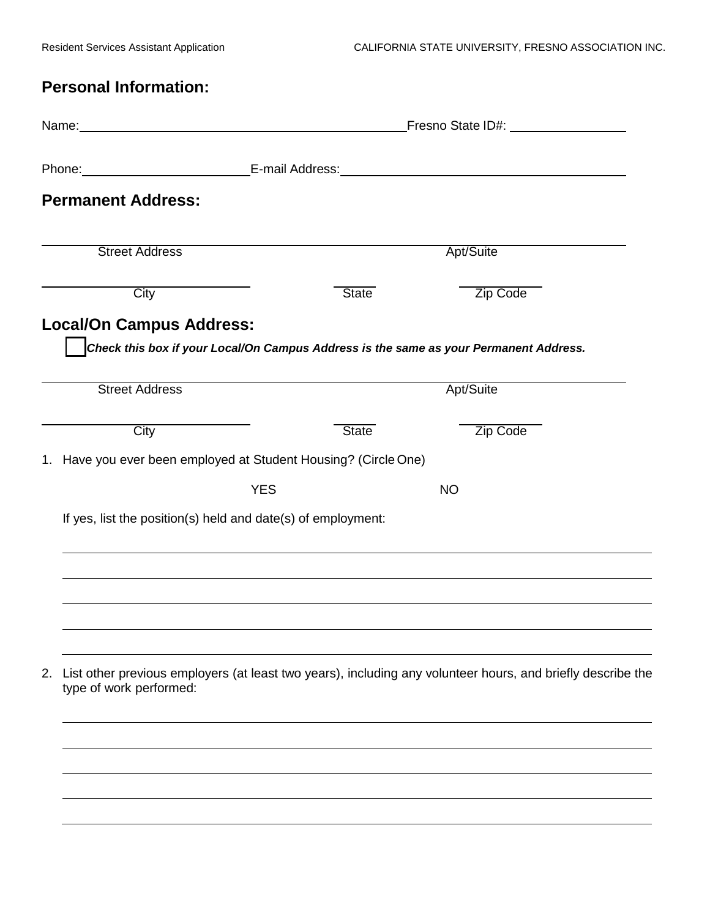## **Personal Information:**

|                                                                 |                                                              | Fresno State ID#: ___________________<br>Name: Name: |                                                                                                                                                                                                                                |  |  |
|-----------------------------------------------------------------|--------------------------------------------------------------|------------------------------------------------------|--------------------------------------------------------------------------------------------------------------------------------------------------------------------------------------------------------------------------------|--|--|
|                                                                 |                                                              |                                                      | Phone: E-mail Address: E-mail: E-mail: E-mail: E-mail: E-mail: E-mail: E-mail: E-mail: E-mail: E-mail: E-mail: E-mail: E-mail: E-mail: E-mail: E-mail: E-mail: E-mail: E-mail: E-mail: E-mail: E-mail: E-mail: E-mail: E-mail: |  |  |
| <b>Permanent Address:</b>                                       |                                                              |                                                      |                                                                                                                                                                                                                                |  |  |
| <b>Street Address</b>                                           |                                                              |                                                      | Apt/Suite                                                                                                                                                                                                                      |  |  |
| $\overline{City}$                                               |                                                              | <b>State</b>                                         | Zip Code                                                                                                                                                                                                                       |  |  |
| <b>Local/On Campus Address:</b>                                 |                                                              |                                                      | Check this box if your Local/On Campus Address is the same as your Permanent Address.                                                                                                                                          |  |  |
| <b>Street Address</b>                                           |                                                              |                                                      | Apt/Suite                                                                                                                                                                                                                      |  |  |
| City                                                            |                                                              | <b>State</b>                                         | Zip Code                                                                                                                                                                                                                       |  |  |
| 1. Have you ever been employed at Student Housing? (Circle One) |                                                              |                                                      |                                                                                                                                                                                                                                |  |  |
|                                                                 | <b>YES</b>                                                   |                                                      | <b>NO</b>                                                                                                                                                                                                                      |  |  |
|                                                                 | If yes, list the position(s) held and date(s) of employment: |                                                      |                                                                                                                                                                                                                                |  |  |
|                                                                 |                                                              |                                                      |                                                                                                                                                                                                                                |  |  |
| 2.<br>type of work performed:                                   |                                                              |                                                      | List other previous employers (at least two years), including any volunteer hours, and briefly describe the                                                                                                                    |  |  |
|                                                                 |                                                              |                                                      |                                                                                                                                                                                                                                |  |  |
|                                                                 |                                                              |                                                      |                                                                                                                                                                                                                                |  |  |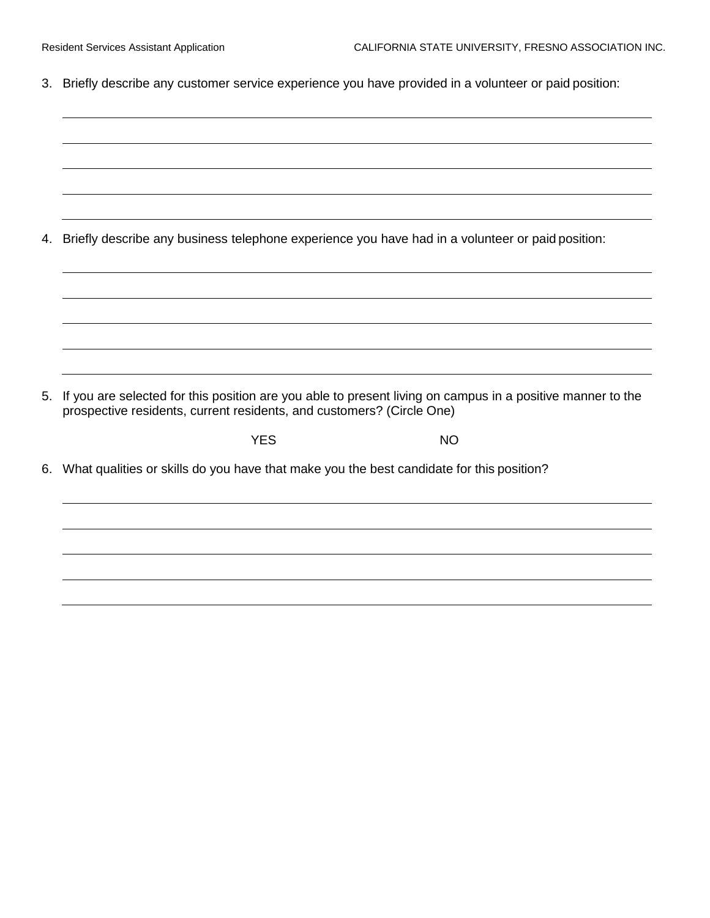3. Briefly describe any customer service experience you have provided in a volunteer or paid position:

| 4.       |                                                                                          | Briefly describe any business telephone experience you have had in a volunteer or paid position:           |
|----------|------------------------------------------------------------------------------------------|------------------------------------------------------------------------------------------------------------|
|          |                                                                                          |                                                                                                            |
|          |                                                                                          |                                                                                                            |
|          |                                                                                          |                                                                                                            |
|          | prospective residents, current residents, and customers? (Circle One)<br><b>YES</b>      | <b>NO</b>                                                                                                  |
|          | What qualities or skills do you have that make you the best candidate for this position? |                                                                                                            |
| 5.<br>6. |                                                                                          | If you are selected for this position are you able to present living on campus in a positive manner to the |
|          |                                                                                          |                                                                                                            |